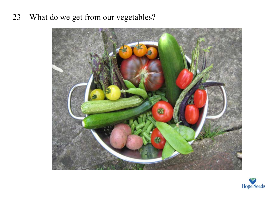## 23 – What do we get from our vegetables?